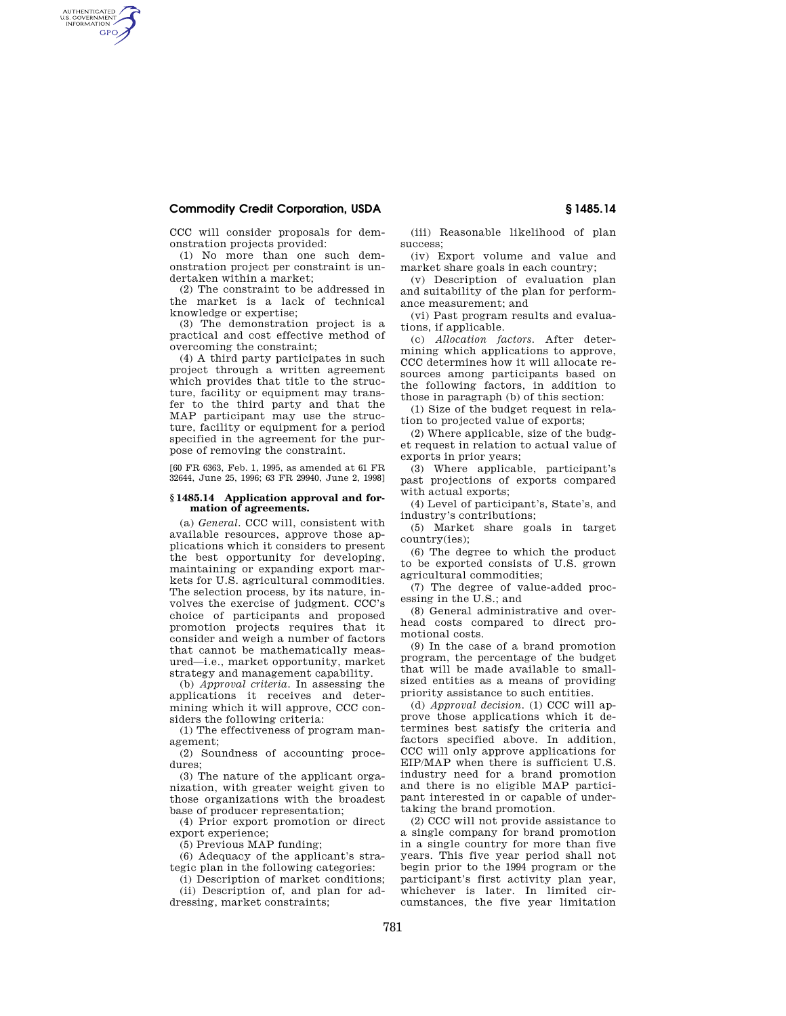## **Commodity Credit Corporation, USDA § 1485.14**

AUTHENTICATED<br>U.S. GOVERNMENT<br>INFORMATION **GPO** 

CCC will consider proposals for demonstration projects provided:

(1) No more than one such demonstration project per constraint is undertaken within a market;

(2) The constraint to be addressed in the market is a lack of technical knowledge or expertise;

(3) The demonstration project is a practical and cost effective method of overcoming the constraint;

(4) A third party participates in such project through a written agreement which provides that title to the structure, facility or equipment may transfer to the third party and that the MAP participant may use the structure, facility or equipment for a period specified in the agreement for the purpose of removing the constraint.

[60 FR 6363, Feb. 1, 1995, as amended at 61 FR 32644, June 25, 1996; 63 FR 29940, June 2, 1998]

## **§ 1485.14 Application approval and formation of agreements.**

(a) *General.* CCC will, consistent with available resources, approve those applications which it considers to present the best opportunity for developing, maintaining or expanding export markets for U.S. agricultural commodities. The selection process, by its nature, involves the exercise of judgment. CCC's choice of participants and proposed promotion projects requires that it consider and weigh a number of factors that cannot be mathematically measured—i.e., market opportunity, market strategy and management capability.

(b) *Approval criteria.* In assessing the applications it receives and determining which it will approve, CCC considers the following criteria:

(1) The effectiveness of program management;

(2) Soundness of accounting procedures;

(3) The nature of the applicant organization, with greater weight given to those organizations with the broadest base of producer representation;

(4) Prior export promotion or direct export experience;

(5) Previous MAP funding;

(6) Adequacy of the applicant's strategic plan in the following categories:

(i) Description of market conditions;

(ii) Description of, and plan for addressing, market constraints;

(iii) Reasonable likelihood of plan success;

(iv) Export volume and value and market share goals in each country;

(v) Description of evaluation plan and suitability of the plan for performance measurement; and

(vi) Past program results and evaluations, if applicable.

(c) *Allocation factors.* After determining which applications to approve, CCC determines how it will allocate resources among participants based on the following factors, in addition to those in paragraph (b) of this section:

(1) Size of the budget request in relation to projected value of exports;

(2) Where applicable, size of the budget request in relation to actual value of exports in prior years;

(3) Where applicable, participant's past projections of exports compared with actual exports;

(4) Level of participant's, State's, and industry's contributions;

(5) Market share goals in target country(ies);

(6) The degree to which the product to be exported consists of U.S. grown agricultural commodities;

(7) The degree of value-added processing in the U.S.; and

(8) General administrative and overhead costs compared to direct promotional costs.

(9) In the case of a brand promotion program, the percentage of the budget that will be made available to smallsized entities as a means of providing priority assistance to such entities.

(d) *Approval decision.* (1) CCC will approve those applications which it determines best satisfy the criteria and factors specified above. In addition, CCC will only approve applications for EIP/MAP when there is sufficient U.S. industry need for a brand promotion and there is no eligible MAP participant interested in or capable of undertaking the brand promotion.

(2) CCC will not provide assistance to a single company for brand promotion in a single country for more than five years. This five year period shall not begin prior to the 1994 program or the participant's first activity plan year, whichever is later. In limited circumstances, the five year limitation